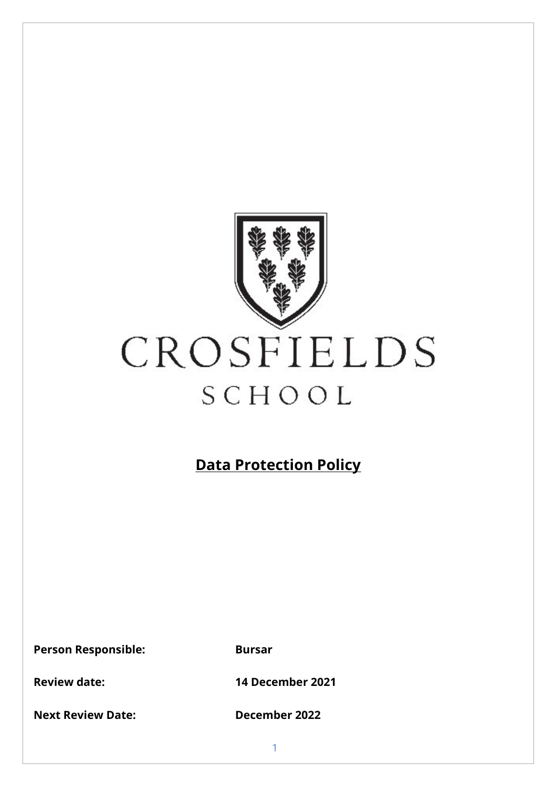

# CROSFIELDS SCHOOL

# **Data Protection Policy**

**Person Responsible: Bursar**

**Next Review Date: December 2022**

**Review date: 14 December 2021**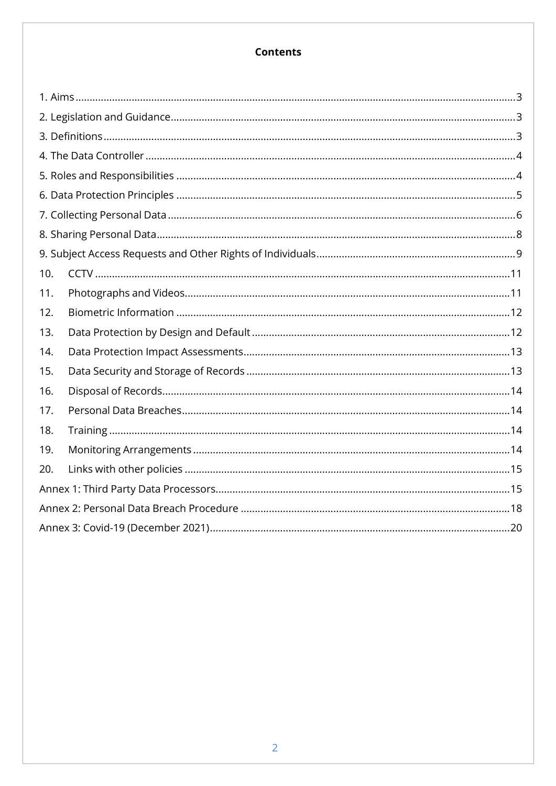# **Contents**

| 10. |  |  |  |  |
|-----|--|--|--|--|
| 11. |  |  |  |  |
| 12. |  |  |  |  |
| 13. |  |  |  |  |
| 14. |  |  |  |  |
| 15. |  |  |  |  |
| 16. |  |  |  |  |
| 17. |  |  |  |  |
| 18. |  |  |  |  |
| 19. |  |  |  |  |
| 20. |  |  |  |  |
|     |  |  |  |  |
|     |  |  |  |  |
|     |  |  |  |  |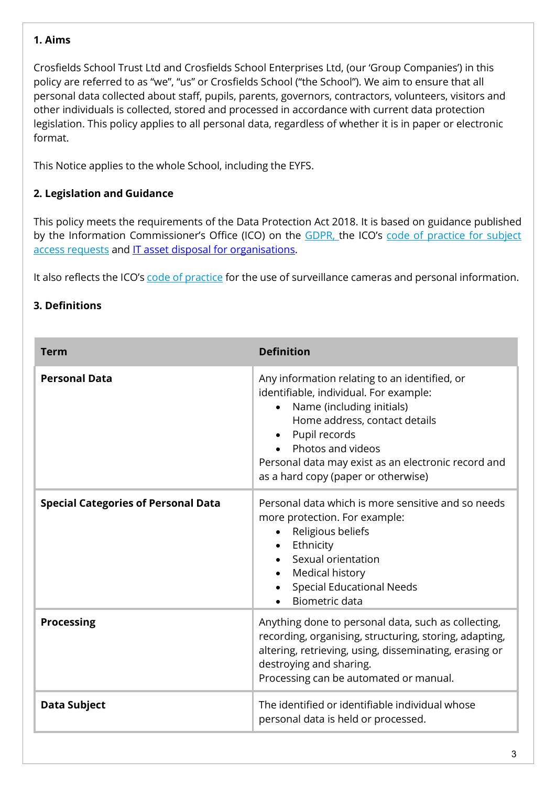## <span id="page-2-0"></span>**1. Aims**

Crosfields School Trust Ltd and Crosfields School Enterprises Ltd, (our 'Group Companies') in this policy are referred to as "we", "us" or Crosfields School ("the School"). We aim to ensure that all personal data collected about staff, pupils, parents, governors, contractors, volunteers, visitors and other individuals is collected, stored and processed in accordance with current data protection legislation. This policy applies to all personal data, regardless of whether it is in paper or electronic format.

This Notice applies to the whole School, including the EYFS.

# <span id="page-2-1"></span>**2. Legislation and Guidance**

This policy meets the requirements of the Data Protection Act 2018. It is based on guidance published by the Information Commissioner's Office (ICO) on the [GDPR, t](https://ico.org.uk/for-organisations/guide-to-the-general-data-protection-regulation-gdpr/)he ICO's [code of practice for subject](https://ico.org.uk/media/for-organisations/documents/2259722/subject-access-code-of-practice.pdf) access [requests](https://ico.org.uk/media/for-organisations/documents/2259722/subject-access-code-of-practice.pdf) and IT asset [disposal for organisations.](https://ico.org.uk/media/for-organisations/documents/1570/it_asset_disposal_for_organisations.pdf)

It also reflects the ICO's code of [practice](https://ico.org.uk/media/for-organisations/documents/1542/cctv-code-of-practice.pdf) for the use of surveillance cameras and personal information.

## <span id="page-2-2"></span>**3. Definitions**

| <b>Term</b>                                | <b>Definition</b>                                                                                                                                                                                                                                                                                      |
|--------------------------------------------|--------------------------------------------------------------------------------------------------------------------------------------------------------------------------------------------------------------------------------------------------------------------------------------------------------|
| <b>Personal Data</b>                       | Any information relating to an identified, or<br>identifiable, individual. For example:<br>Name (including initials)<br>$\bullet$<br>Home address, contact details<br>Pupil records<br>Photos and videos<br>Personal data may exist as an electronic record and<br>as a hard copy (paper or otherwise) |
| <b>Special Categories of Personal Data</b> | Personal data which is more sensitive and so needs<br>more protection. For example:<br>Religious beliefs<br>$\bullet$<br>Ethnicity<br>Sexual orientation<br>Medical history<br>$\bullet$<br><b>Special Educational Needs</b><br>Biometric data                                                         |
| <b>Processing</b>                          | Anything done to personal data, such as collecting,<br>recording, organising, structuring, storing, adapting,<br>altering, retrieving, using, disseminating, erasing or<br>destroying and sharing.<br>Processing can be automated or manual.                                                           |
| <b>Data Subject</b>                        | The identified or identifiable individual whose<br>personal data is held or processed.                                                                                                                                                                                                                 |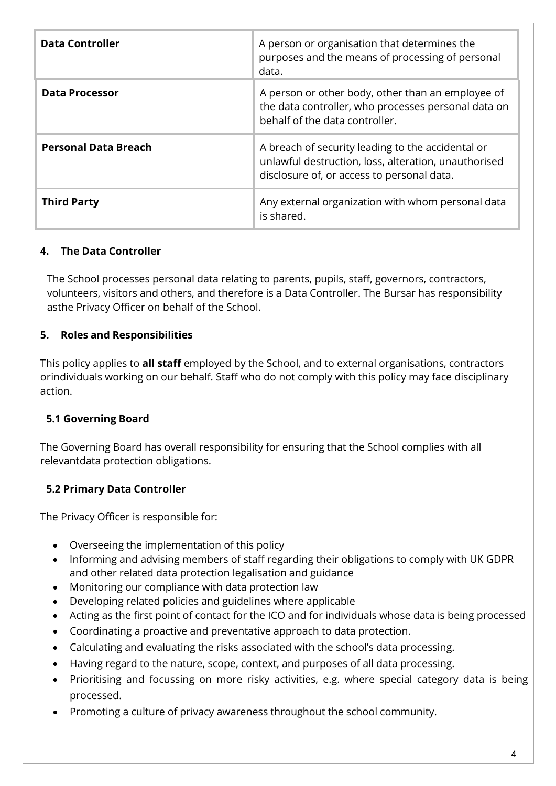| <b>Data Controller</b>      | A person or organisation that determines the<br>purposes and the means of processing of personal<br>data.                                               |
|-----------------------------|---------------------------------------------------------------------------------------------------------------------------------------------------------|
| <b>Data Processor</b>       | A person or other body, other than an employee of<br>the data controller, who processes personal data on<br>behalf of the data controller.              |
| <b>Personal Data Breach</b> | A breach of security leading to the accidental or<br>unlawful destruction, loss, alteration, unauthorised<br>disclosure of, or access to personal data. |
| <b>Third Party</b>          | Any external organization with whom personal data<br>is shared.                                                                                         |

# <span id="page-3-0"></span>**4. The Data Controller**

The School processes personal data relating to parents, pupils, staff, governors, contractors, volunteers, visitors and others, and therefore is a Data Controller. The Bursar has responsibility asthe Privacy Officer on behalf of the School.

## <span id="page-3-1"></span>**5. Roles and Responsibilities**

This policy applies to **all staff** employed by the School, and to external organisations, contractors orindividuals working on our behalf. Staff who do not comply with this policy may face disciplinary action.

## **5.1 Governing Board**

The Governing Board has overall responsibility for ensuring that the School complies with all relevantdata protection obligations.

# **5.2 Primary Data Controller**

The Privacy Officer is responsible for:

- Overseeing the implementation of this policy
- Informing and advising members of staff regarding their obligations to comply with UK GDPR and other related data protection legalisation and guidance
- Monitoring our compliance with data protection law
- Developing related policies and guidelines where applicable
- Acting as the first point of contact for the ICO and for individuals whose data is being processed
- Coordinating a proactive and preventative approach to data protection.
- Calculating and evaluating the risks associated with the school's data processing.
- Having regard to the nature, scope, context, and purposes of all data processing.
- Prioritising and focussing on more risky activities, e.g. where special category data is being processed.
- Promoting a culture of privacy awareness throughout the school community.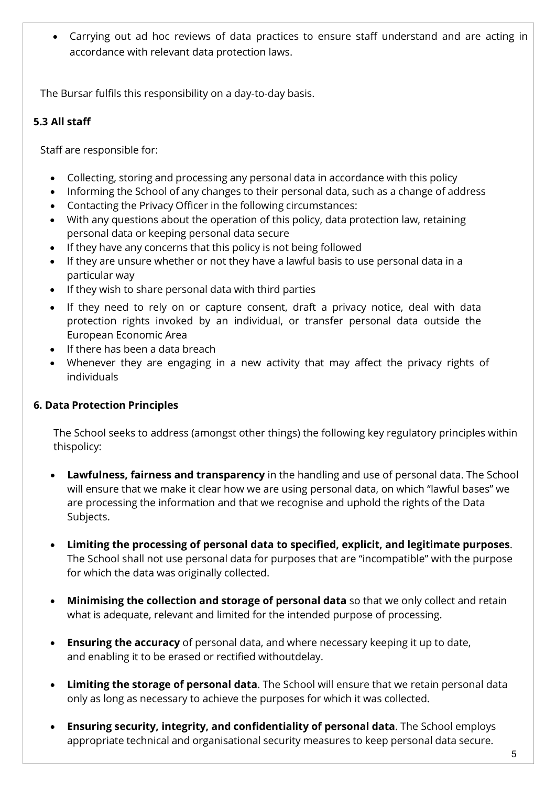• Carrying out ad hoc reviews of data practices to ensure staff understand and are acting in accordance with relevant data protection laws.

The Bursar fulfils this responsibility on a day-to-day basis.

# **5.3 All staff**

Staff are responsible for:

- Collecting, storing and processing any personal data in accordance with this policy
- Informing the School of any changes to their personal data, such as a change of address
- Contacting the Privacy Officer in the following circumstances:
- With any questions about the operation of this policy, data protection law, retaining personal data or keeping personal data secure
- If they have any concerns that this policy is not being followed
- If they are unsure whether or not they have a lawful basis to use personal data in a particular way
- If they wish to share personal data with third parties
- If they need to rely on or capture consent, draft a privacy notice, deal with data protection rights invoked by an individual, or transfer personal data outside the European Economic Area
- If there has been a data breach
- Whenever they are engaging in a new activity that may affect the privacy rights of individuals

# <span id="page-4-0"></span>**6. Data Protection Principles**

The School seeks to address (amongst other things) the following key regulatory principles within thispolicy:

- **Lawfulness, fairness and transparency** in the handling and use of personal data. The School will ensure that we make it clear how we are using personal data, on which "lawful bases" we are processing the information and that we recognise and uphold the rights of the Data Subjects.
- **Limiting the processing of personal data to specified, explicit, and legitimate purposes**. The School shall not use personal data for purposes that are "incompatible" with the purpose for which the data was originally collected.
- **Minimising the collection and storage of personal data** so that we only collect and retain what is adequate, relevant and limited for the intended purpose of processing.
- **Ensuring the accuracy** of personal data, and where necessary keeping it up to date, and enabling it to be erased or rectified withoutdelay.
- **Limiting the storage of personal data**. The School will ensure that we retain personal data only as long as necessary to achieve the purposes for which it was collected.
- **Ensuring security, integrity, and confidentiality of personal data**. The School employs appropriate technical and organisational security measures to keep personal data secure.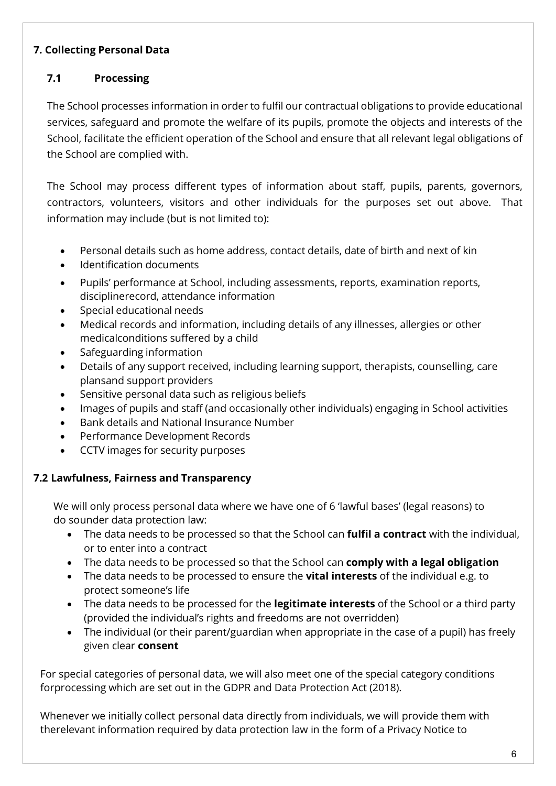# <span id="page-5-0"></span>**7. Collecting Personal Data**

# **7.1 Processing**

The School processes information in order to fulfil our contractual obligations to provide educational services, safeguard and promote the welfare of its pupils, promote the objects and interests of the School, facilitate the efficient operation of the School and ensure that all relevant legal obligations of the School are complied with.

The School may process different types of information about staff, pupils, parents, governors, contractors, volunteers, visitors and other individuals for the purposes set out above. That information may include (but is not limited to):

- Personal details such as home address, contact details, date of birth and next of kin
- Identification documents
- Pupils' performance at School, including assessments, reports, examination reports, disciplinerecord, attendance information
- Special educational needs
- Medical records and information, including details of any illnesses, allergies or other medicalconditions suffered by a child
- Safeguarding information
- Details of any support received, including learning support, therapists, counselling, care plansand support providers
- Sensitive personal data such as religious beliefs
- Images of pupils and staff (and occasionally other individuals) engaging in School activities
- Bank details and National Insurance Number
- Performance Development Records
- CCTV images for security purposes

# **7.2 Lawfulness, Fairness and Transparency**

We will only process personal data where we have one of 6 'lawful bases' (legal reasons) to do sounder data protection law:

- The data needs to be processed so that the School can **fulfil a contract** with the individual, or to enter into a contract
- The data needs to be processed so that the School can **comply with a legal obligation**
- The data needs to be processed to ensure the **vital interests** of the individual e.g. to protect someone's life
- The data needs to be processed for the **legitimate interests** of the School or a third party (provided the individual's rights and freedoms are not overridden)
- The individual (or their parent/guardian when appropriate in the case of a pupil) has freely given clear **consent**

For special categories of personal data, we will also meet one of the special category conditions forprocessing which are set out in the GDPR and Data Protection Act (2018).

Whenever we initially collect personal data directly from individuals, we will provide them with therelevant information required by data protection law in the form of a Privacy Notice to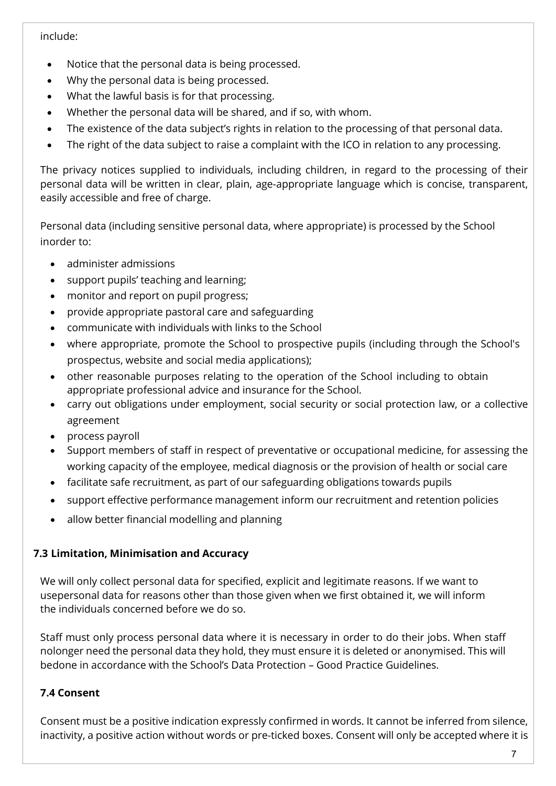### include:

- Notice that the personal data is being processed.
- Why the personal data is being processed.
- What the lawful basis is for that processing.
- Whether the personal data will be shared, and if so, with whom.
- The existence of the data subject's rights in relation to the processing of that personal data.
- The right of the data subject to raise a complaint with the ICO in relation to any processing.

The privacy notices supplied to individuals, including children, in regard to the processing of their personal data will be written in clear, plain, age-appropriate language which is concise, transparent, easily accessible and free of charge.

Personal data (including sensitive personal data, where appropriate) is processed by the School inorder to:

- administer admissions
- support pupils' teaching and learning;
- monitor and report on pupil progress;
- provide appropriate pastoral care and safeguarding
- communicate with individuals with links to the School
- where appropriate, promote the School to prospective pupils (including through the School's prospectus, website and social media applications);
- other reasonable purposes relating to the operation of the School including to obtain appropriate professional advice and insurance for the School.
- carry out obligations under employment, social security or social protection law, or a collective agreement
- process payroll
- Support members of staff in respect of preventative or occupational medicine, for assessing the working capacity of the employee, medical diagnosis or the provision of health or social care
- facilitate safe recruitment, as part of our safeguarding obligations towards pupils
- support effective performance management inform our recruitment and retention policies
- allow better financial modelling and planning

# **7.3 Limitation, Minimisation and Accuracy**

We will only collect personal data for specified, explicit and legitimate reasons. If we want to usepersonal data for reasons other than those given when we first obtained it, we will inform the individuals concerned before we do so.

Staff must only process personal data where it is necessary in order to do their jobs. When staff nolonger need the personal data they hold, they must ensure it is deleted or anonymised. This will bedone in accordance with the School's Data Protection – Good Practice Guidelines.

# **7.4 Consent**

Consent must be a positive indication expressly confirmed in words. It cannot be inferred from silence, inactivity, a positive action without words or pre-ticked boxes. Consent will only be accepted where it is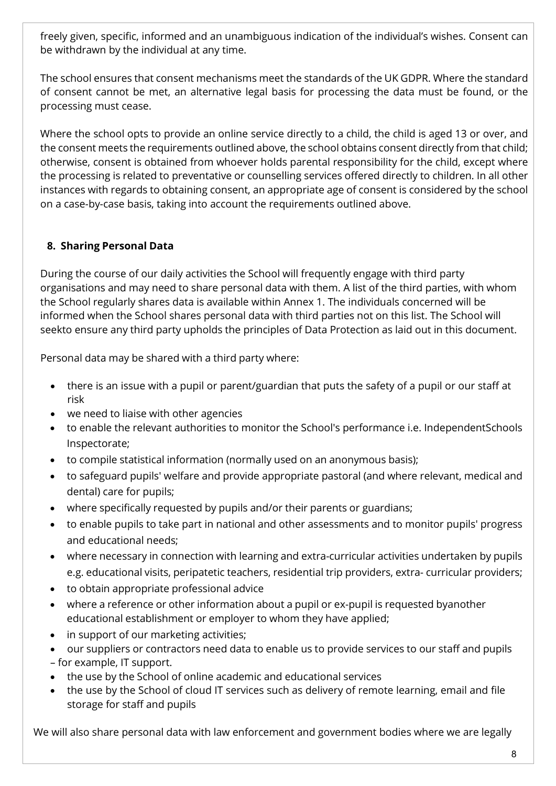freely given, specific, informed and an unambiguous indication of the individual's wishes. Consent can be withdrawn by the individual at any time.

The school ensures that consent mechanisms meet the standards of the UK GDPR. Where the standard of consent cannot be met, an alternative legal basis for processing the data must be found, or the processing must cease.

Where the school opts to provide an online service directly to a child, the child is aged 13 or over, and the consent meets the requirements outlined above, the school obtains consent directly from that child; otherwise, consent is obtained from whoever holds parental responsibility for the child, except where the processing is related to preventative or counselling services offered directly to children. In all other instances with regards to obtaining consent, an appropriate age of consent is considered by the school on a case-by-case basis, taking into account the requirements outlined above.

# <span id="page-7-0"></span>**8. Sharing Personal Data**

During the course of our daily activities the School will frequently engage with third party organisations and may need to share personal data with them. A list of the third parties, with whom the School regularly shares data is available within Annex 1. The individuals concerned will be informed when the School shares personal data with third parties not on this list. The School will seekto ensure any third party upholds the principles of Data Protection as laid out in this document.

Personal data may be shared with a third party where:

- there is an issue with a pupil or parent/guardian that puts the safety of a pupil or our staff at risk
- we need to liaise with other agencies
- to enable the relevant authorities to monitor the School's performance i.e. IndependentSchools Inspectorate;
- to compile statistical information (normally used on an anonymous basis);
- to safeguard pupils' welfare and provide appropriate pastoral (and where relevant, medical and dental) care for pupils;
- where specifically requested by pupils and/or their parents or guardians;
- to enable pupils to take part in national and other assessments and to monitor pupils' progress and educational needs;
- where necessary in connection with learning and extra-curricular activities undertaken by pupils e.g. educational visits, peripatetic teachers, residential trip providers, extra- curricular providers;
- to obtain appropriate professional advice
- where a reference or other information about a pupil or ex-pupil is requested byanother educational establishment or employer to whom they have applied;
- in support of our marketing activities;
- our suppliers or contractors need data to enable us to provide services to our staff and pupils – for example, IT support.
- the use by the School of online academic and educational services
- the use by the School of cloud IT services such as delivery of remote learning, email and file storage for staff and pupils

We will also share personal data with law enforcement and government bodies where we are legally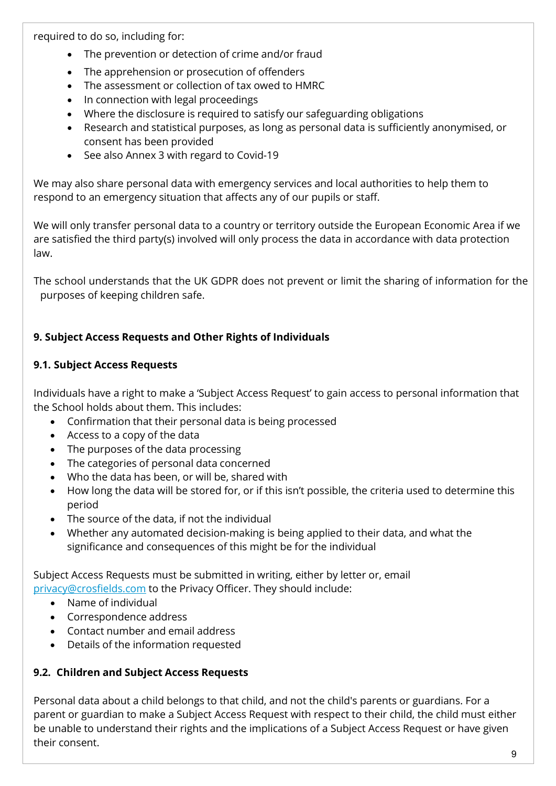required to do so, including for:

- The prevention or detection of crime and/or fraud
- The apprehension or prosecution of offenders
- The assessment or collection of tax owed to HMRC
- In connection with legal proceedings
- Where the disclosure is required to satisfy our safeguarding obligations
- Research and statistical purposes, as long as personal data is sufficiently anonymised, or consent has been provided
- See also Annex 3 with regard to Covid-19

We may also share personal data with emergency services and local authorities to help them to respond to an emergency situation that affects any of our pupils or staff.

We will only transfer personal data to a country or territory outside the European Economic Area if we are satisfied the third party(s) involved will only process the data in accordance with data protection law.

The school understands that the UK GDPR does not prevent or limit the sharing of information for the purposes of keeping children safe.

# <span id="page-8-0"></span>**9. Subject Access Requests and Other Rights of Individuals**

# **9.1. Subject Access Requests**

Individuals have a right to make a 'Subject Access Request' to gain access to personal information that the School holds about them. This includes:

- Confirmation that their personal data is being processed
- Access to a copy of the data
- The purposes of the data processing
- The categories of personal data concerned
- Who the data has been, or will be, shared with
- How long the data will be stored for, or if this isn't possible, the criteria used to determine this period
- The source of the data, if not the individual
- Whether any automated decision-making is being applied to their data, and what the significance and consequences of this might be for the individual

Subject Access Requests must be submitted in writing, either by letter or, email [privacy@crosfields.com](mailto:privacy@crosfields.com) to the Privacy Officer. They should include:

- Name of individual
- Correspondence address
- Contact number and email address
- Details of the information requested

# **9.2. Children and Subject Access Requests**

Personal data about a child belongs to that child, and not the child's parents or guardians. For a parent or guardian to make a Subject Access Request with respect to their child, the child must either be unable to understand their rights and the implications of a Subject Access Request or have given their consent.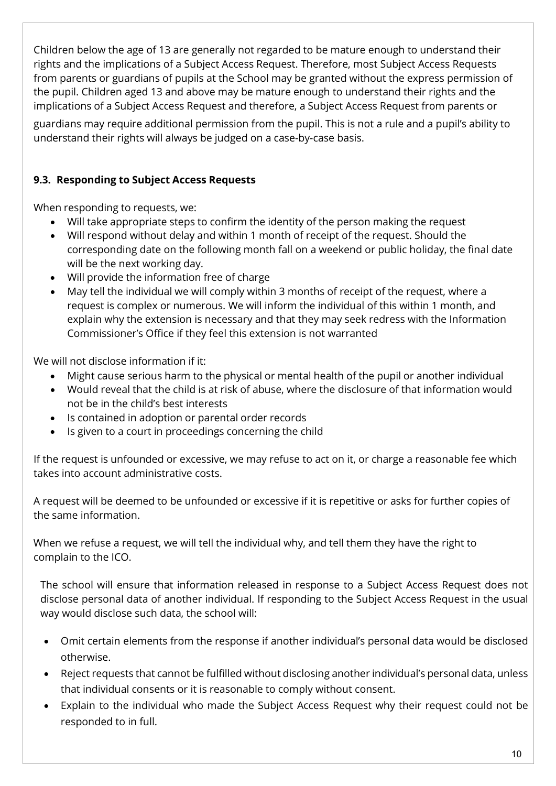Children below the age of 13 are generally not regarded to be mature enough to understand their rights and the implications of a Subject Access Request. Therefore, most Subject Access Requests from parents or guardians of pupils at the School may be granted without the express permission of the pupil. Children aged 13 and above may be mature enough to understand their rights and the implications of a Subject Access Request and therefore, a Subject Access Request from parents or

guardians may require additional permission from the pupil. This is not a rule and a pupil's ability to understand their rights will always be judged on a case-by-case basis.

# **9.3. Responding to Subject Access Requests**

When responding to requests, we:

- Will take appropriate steps to confirm the identity of the person making the request
- Will respond without delay and within 1 month of receipt of the request. Should the corresponding date on the following month fall on a weekend or public holiday, the final date will be the next working day.
- Will provide the information free of charge
- May tell the individual we will comply within 3 months of receipt of the request, where a request is complex or numerous. We will inform the individual of this within 1 month, and explain why the extension is necessary and that they may seek redress with the Information Commissioner's Office if they feel this extension is not warranted

We will not disclose information if it:

- Might cause serious harm to the physical or mental health of the pupil or another individual
- Would reveal that the child is at risk of abuse, where the disclosure of that information would not be in the child's best interests
- Is contained in adoption or parental order records
- Is given to a court in proceedings concerning the child

If the request is unfounded or excessive, we may refuse to act on it, or charge a reasonable fee which takes into account administrative costs.

A request will be deemed to be unfounded or excessive if it is repetitive or asks for further copies of the same information.

When we refuse a request, we will tell the individual why, and tell them they have the right to complain to the ICO.

The school will ensure that information released in response to a Subject Access Request does not disclose personal data of another individual. If responding to the Subject Access Request in the usual way would disclose such data, the school will:

- Omit certain elements from the response if another individual's personal data would be disclosed otherwise.
- Reject requests that cannot be fulfilled without disclosing another individual's personal data, unless that individual consents or it is reasonable to comply without consent.
- Explain to the individual who made the Subject Access Request why their request could not be responded to in full.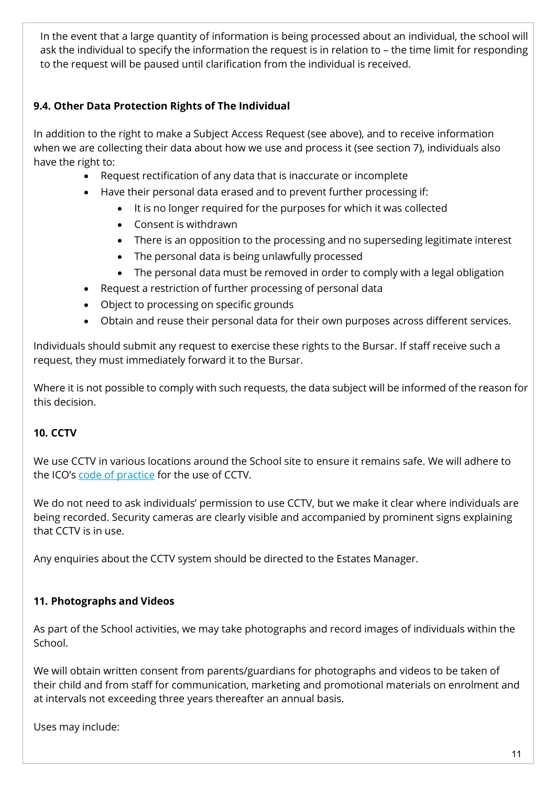In the event that a large quantity of information is being processed about an individual, the school will ask the individual to specify the information the request is in relation to – the time limit for responding to the request will be paused until clarification from the individual is received.

# **9.4. Other Data Protection Rights of The Individual**

In addition to the right to make a Subject Access Request (see above), and to receive information when we are collecting their data about how we use and process it (see section 7), individuals also have the right to:

- Request rectification of any data that is inaccurate or incomplete
- Have their personal data erased and to prevent further processing if:
	- It is no longer required for the purposes for which it was collected
	- Consent is withdrawn
	- There is an opposition to the processing and no superseding legitimate interest
	- The personal data is being unlawfully processed
	- The personal data must be removed in order to comply with a legal obligation
- Request a restriction of further processing of personal data
- Object to processing on specific grounds
- Obtain and reuse their personal data for their own purposes across different services.

Individuals should submit any request to exercise these rights to the Bursar. If staff receive such a request, they must immediately forward it to the Bursar.

Where it is not possible to comply with such requests, the data subject will be informed of the reason for this decision.

# <span id="page-10-0"></span>**10. CCTV**

We use CCTV in various locations around the School site to ensure it remains safe. We will adhere to the ICO's [code of practice](https://ico.org.uk/media/for-organisations/documents/1542/cctv-code-of-practice.pdf) for the use of CCTV.

We do not need to ask individuals' permission to use CCTV, but we make it clear where individuals are being recorded. Security cameras are clearly visible and accompanied by prominent signs explaining that CCTV is in use.

Any enquiries about the CCTV system should be directed to the Estates Manager.

# <span id="page-10-1"></span>**11. Photographs and Videos**

As part of the School activities, we may take photographs and record images of individuals within the School.

We will obtain written consent from parents/guardians for photographs and videos to be taken of their child and from staff for communication, marketing and promotional materials on enrolment and at intervals not exceeding three years thereafter an annual basis.

Uses may include: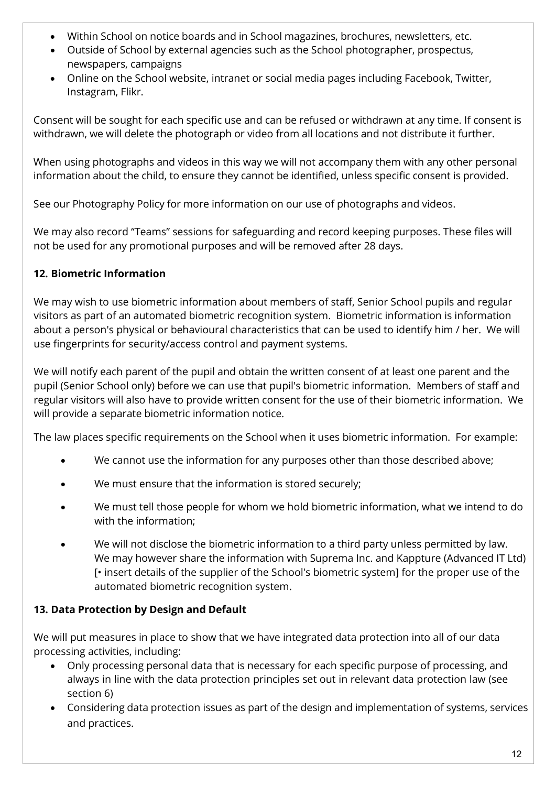- Within School on notice boards and in School magazines, brochures, newsletters, etc.
- Outside of School by external agencies such as the School photographer, prospectus, newspapers, campaigns
- Online on the School website, intranet or social media pages including Facebook, Twitter, Instagram, Flikr.

Consent will be sought for each specific use and can be refused or withdrawn at any time. If consent is withdrawn, we will delete the photograph or video from all locations and not distribute it further.

When using photographs and videos in this way we will not accompany them with any other personal information about the child, to ensure they cannot be identified, unless specific consent is provided.

See our Photography Policy for more information on our use of photographs and videos.

We may also record "Teams" sessions for safeguarding and record keeping purposes. These files will not be used for any promotional purposes and will be removed after 28 days.

# <span id="page-11-0"></span>**12. Biometric Information**

We may wish to use biometric information about members of staff, Senior School pupils and regular visitors as part of an automated biometric recognition system. Biometric information is information about a person's physical or behavioural characteristics that can be used to identify him / her. We will use fingerprints for security/access control and payment systems.

We will notify each parent of the pupil and obtain the written consent of at least one parent and the pupil (Senior School only) before we can use that pupil's biometric information. Members of staff and regular visitors will also have to provide written consent for the use of their biometric information. We will provide a separate biometric information notice.

The law places specific requirements on the School when it uses biometric information. For example:

- We cannot use the information for any purposes other than those described above;
- We must ensure that the information is stored securely;
- We must tell those people for whom we hold biometric information, what we intend to do with the information;
- We will not disclose the biometric information to a third party unless permitted by law. We may however share the information with Suprema Inc. and Kappture (Advanced IT Ltd) [• insert details of the supplier of the School's biometric system] for the proper use of the automated biometric recognition system.

# <span id="page-11-1"></span>**13. Data Protection by Design and Default**

We will put measures in place to show that we have integrated data protection into all of our data processing activities, including:

- Only processing personal data that is necessary for each specific purpose of processing, and always in line with the data protection principles set out in relevant data protection law (see section 6)
- Considering data protection issues as part of the design and implementation of systems, services and practices.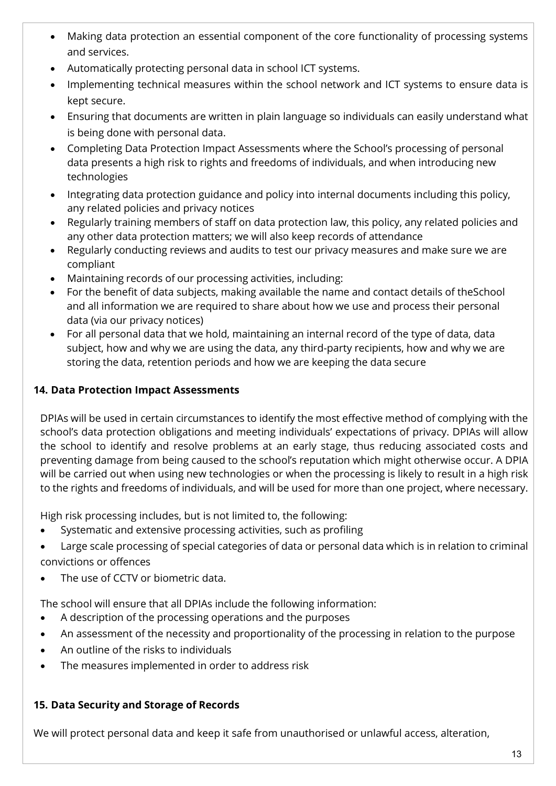- Making data protection an essential component of the core functionality of processing systems and services.
- Automatically protecting personal data in school ICT systems.
- Implementing technical measures within the school network and ICT systems to ensure data is kept secure.
- Ensuring that documents are written in plain language so individuals can easily understand what is being done with personal data.
- Completing Data Protection Impact Assessments where the School's processing of personal data presents a high risk to rights and freedoms of individuals, and when introducing new technologies
- Integrating data protection guidance and policy into internal documents including this policy, any related policies and privacy notices
- Regularly training members of staff on data protection law, this policy, any related policies and any other data protection matters; we will also keep records of attendance
- Regularly conducting reviews and audits to test our privacy measures and make sure we are compliant
- Maintaining records of our processing activities, including:
- For the benefit of data subjects, making available the name and contact details of theSchool and all information we are required to share about how we use and process their personal data (via our privacy notices)
- For all personal data that we hold, maintaining an internal record of the type of data, data subject, how and why we are using the data, any third-party recipients, how and why we are storing the data, retention periods and how we are keeping the data secure

# <span id="page-12-0"></span>**14. Data Protection Impact Assessments**

DPIAs will be used in certain circumstances to identify the most effective method of complying with the school's data protection obligations and meeting individuals' expectations of privacy. DPIAs will allow the school to identify and resolve problems at an early stage, thus reducing associated costs and preventing damage from being caused to the school's reputation which might otherwise occur. A DPIA will be carried out when using new technologies or when the processing is likely to result in a high risk to the rights and freedoms of individuals, and will be used for more than one project, where necessary.

High risk processing includes, but is not limited to, the following:

- Systematic and extensive processing activities, such as profiling
- Large scale processing of special categories of data or personal data which is in relation to criminal convictions or offences
- The use of CCTV or biometric data.

The school will ensure that all DPIAs include the following information:

- A description of the processing operations and the purposes
- An assessment of the necessity and proportionality of the processing in relation to the purpose
- An outline of the risks to individuals
- The measures implemented in order to address risk

# <span id="page-12-1"></span>**15. Data Security and Storage of Records**

We will protect personal data and keep it safe from unauthorised or unlawful access, alteration,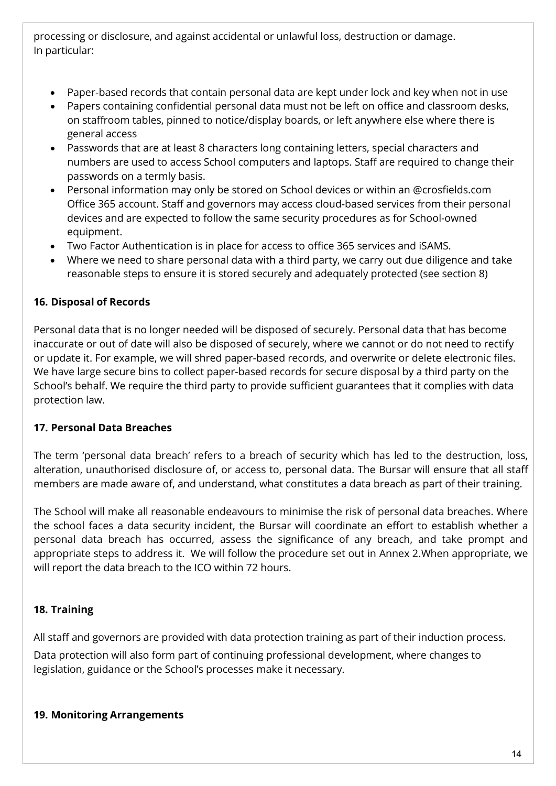processing or disclosure, and against accidental or unlawful loss, destruction or damage. In particular:

- Paper-based records that contain personal data are kept under lock and key when not in use
- Papers containing confidential personal data must not be left on office and classroom desks, on staffroom tables, pinned to notice/display boards, or left anywhere else where there is general access
- Passwords that are at least 8 characters long containing letters, special characters and numbers are used to access School computers and laptops. Staff are required to change their passwords on a termly basis.
- Personal information may only be stored on School devices or within an @crosfields.com Office 365 account. Staff and governors may access cloud-based services from their personal devices and are expected to follow the same security procedures as for School-owned equipment.
- Two Factor Authentication is in place for access to office 365 services and iSAMS.
- Where we need to share personal data with a third party, we carry out due diligence and take reasonable steps to ensure it is stored securely and adequately protected (see section 8)

# <span id="page-13-0"></span>**16. Disposal of Records**

Personal data that is no longer needed will be disposed of securely. Personal data that has become inaccurate or out of date will also be disposed of securely, where we cannot or do not need to rectify or update it. For example, we will shred paper-based records, and overwrite or delete electronic files. We have large secure bins to collect paper-based records for secure disposal by a third party on the School's behalf. We require the third party to provide sufficient guarantees that it complies with data protection law.

# <span id="page-13-1"></span>**17. Personal Data Breaches**

The term 'personal data breach' refers to a breach of security which has led to the destruction, loss, alteration, unauthorised disclosure of, or access to, personal data. The Bursar will ensure that all staff members are made aware of, and understand, what constitutes a data breach as part of their training.

The School will make all reasonable endeavours to minimise the risk of personal data breaches. Where the school faces a data security incident, the Bursar will coordinate an effort to establish whether a personal data breach has occurred, assess the significance of any breach, and take prompt and appropriate steps to address it. We will follow the procedure set out in Annex 2.When appropriate, we will report the data breach to the ICO within 72 hours.

# <span id="page-13-2"></span>**18. Training**

All staff and governors are provided with data protection training as part of their induction process.

Data protection will also form part of continuing professional development, where changes to legislation, guidance or the School's processes make it necessary.

# <span id="page-13-3"></span>**19. Monitoring Arrangements**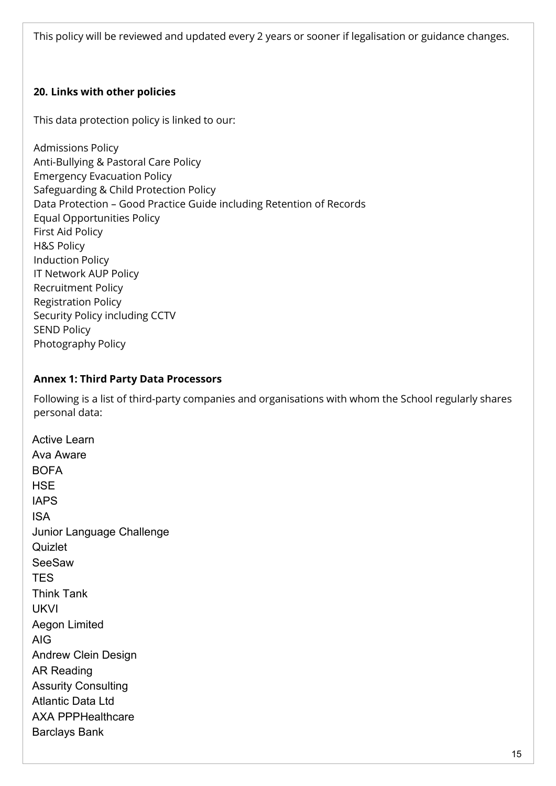This policy will be reviewed and updated every 2 years or sooner if legalisation or guidance changes.

### <span id="page-14-0"></span>**20. Links with other policies**

This data protection policy is linked to our:

Admissions Policy Anti-Bullying & Pastoral Care Policy Emergency Evacuation Policy Safeguarding & Child Protection Policy Data Protection – Good Practice Guide including Retention of Records Equal Opportunities Policy First Aid Policy H&S Policy Induction Policy IT Network AUP Policy Recruitment Policy Registration Policy Security Policy including CCTV SEND Policy Photography Policy

#### <span id="page-14-1"></span>**Annex 1: Third Party Data Processors**

Following is a list of third-party companies and organisations with whom the School regularly shares personal data:

Active Learn Ava Aware BOFA **HSE** IAPS ISA Junior Language Challenge **Quizlet** SeeSaw **TES** Think Tank UKVI Aegon Limited AIG Andrew Clein Design AR Reading Assurity Consulting Atlantic Data Ltd AXA PPPHealthcare Barclays Bank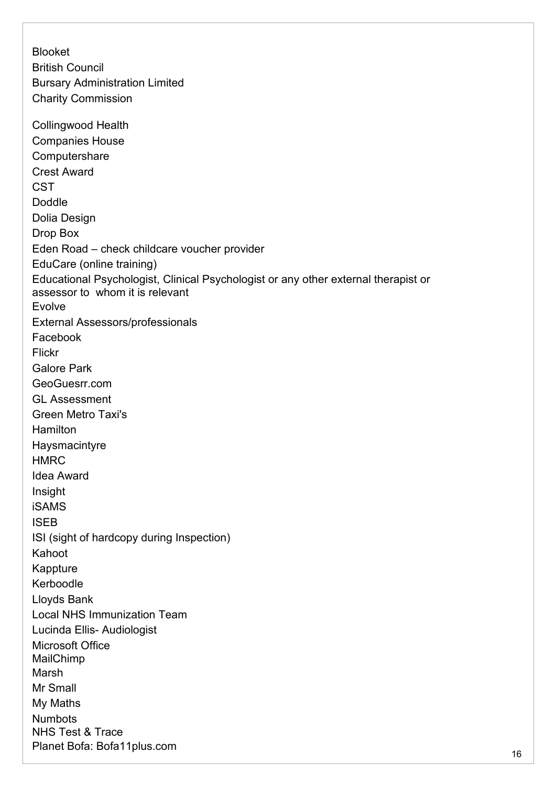Blooket British Council Bursary Administration Limited Charity Commission Collingwood Health Companies House **Computershare** Crest Award **CST** Doddle Dolia Design Drop Box Eden Road – check childcare voucher provider EduCare (online training) Educational Psychologist, Clinical Psychologist or any other external therapist or assessor to whom it is relevant Evolve External Assessors/professionals Facebook Flickr Galore Park GeoGuesrr.com GL Assessment Green Metro Taxi's **Hamilton** Haysmacintyre **HMRC** Idea Award Insight iSAMS ISEB ISI (sight of hardcopy during Inspection) Kahoot Kappture Kerboodle Lloyds Bank Local NHS Immunization Team Lucinda Ellis- Audiologist Microsoft Office MailChimp Marsh Mr Small My Maths Numbots NHS Test & Trace Planet Bofa: Bofa11plus.com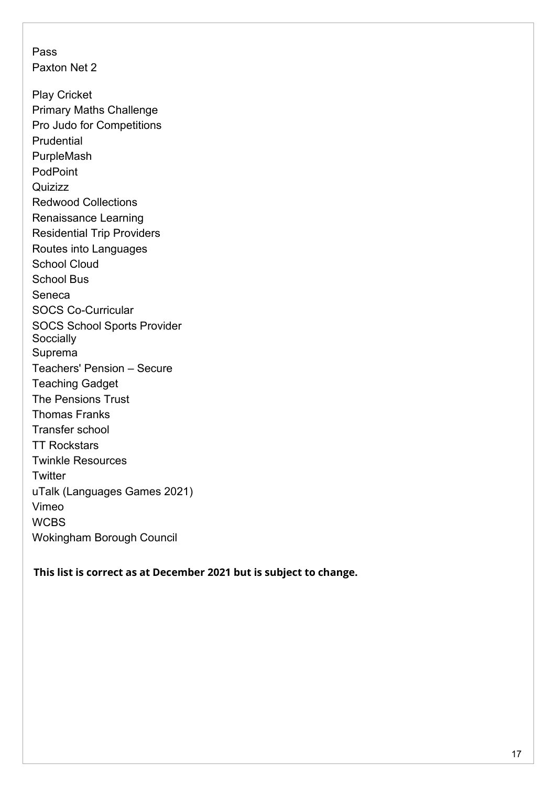Pass Paxton Net 2 Play Cricket Primary Maths Challenge Pro Judo for Competitions **Prudential** PurpleMash **PodPoint Quizizz** Redwood Collections Renaissance Learning Residential Trip Providers Routes into Languages School Cloud School Bus Seneca SOCS Co-Curricular SOCS School Sports Provider **Soccially** Suprema Teachers' Pension – Secure Teaching Gadget The Pensions Trust Thomas Franks Transfer school TT Rockstars Twinkle Resources **Twitter** uTalk (Languages Games 2021) Vimeo **WCBS** Wokingham Borough Council

**This list is correct as at December 2021 but is subject to change.**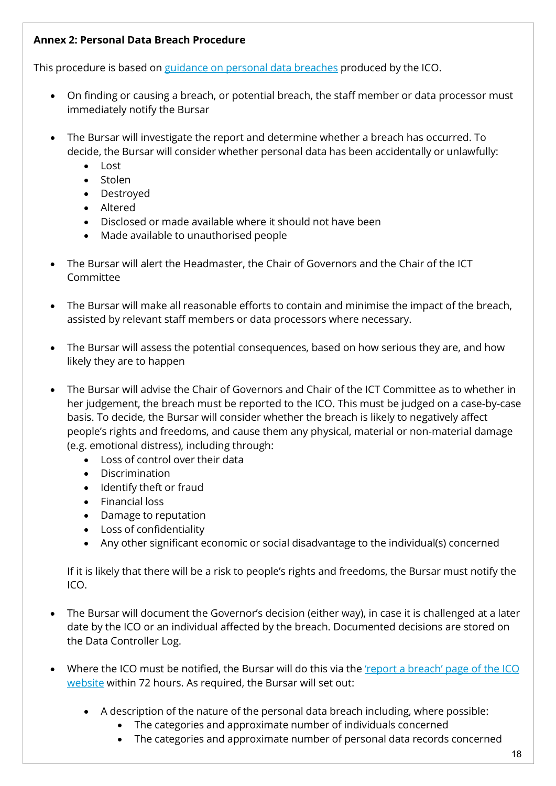# <span id="page-17-0"></span>**Annex 2: Personal Data Breach Procedure**

This procedure is based on guidance on personal data [breaches](https://ico.org.uk/for-organisations/guide-to-the-general-data-protection-regulation-gdpr/personal-data-breaches/) produced by the ICO.

- On finding or causing a breach, or potential breach, the staff member or data processor must immediately notify the Bursar
- The Bursar will investigate the report and determine whether a breach has occurred. To decide, the Bursar will consider whether personal data has been accidentally or unlawfully:
	- Lost
	- Stolen
	- Destroyed
	- Altered
	- Disclosed or made available where it should not have been
	- Made available to unauthorised people
- The Bursar will alert the Headmaster, the Chair of Governors and the Chair of the ICT Committee
- The Bursar will make all reasonable efforts to contain and minimise the impact of the breach, assisted by relevant staff members or data processors where necessary.
- The Bursar will assess the potential consequences, based on how serious they are, and how likely they are to happen
- The Bursar will advise the Chair of Governors and Chair of the ICT Committee as to whether in her judgement, the breach must be reported to the ICO. This must be judged on a case-by-case basis. To decide, the Bursar will consider whether the breach is likely to negatively affect people's rights and freedoms, and cause them any physical, material or non-material damage (e.g. emotional distress), including through:
	- Loss of control over their data
	- Discrimination
	- Identify theft or fraud
	- Financial loss
	- Damage to reputation
	- Loss of confidentiality
	- Any other significant economic or social disadvantage to the individual(s) concerned

If it is likely that there will be a risk to people's rights and freedoms, the Bursar must notify the ICO.

- The Bursar will document the Governor's decision (either way), in case it is challenged at a later date by the ICO or an individual affected by the breach. Documented decisions are stored on the Data Controller Log.
- Where the ICO must be notified, the Bursar will do this via the ['report a breach' page of the ICO](https://ico.org.uk/for-organisations/report-a-breach/) [website](https://ico.org.uk/for-organisations/report-a-breach/) within 72 hours. As required, the Bursar will set out:
	- A description of the nature of the personal data breach including, where possible:
		- The categories and approximate number of individuals concerned
		- The categories and approximate number of personal data records concerned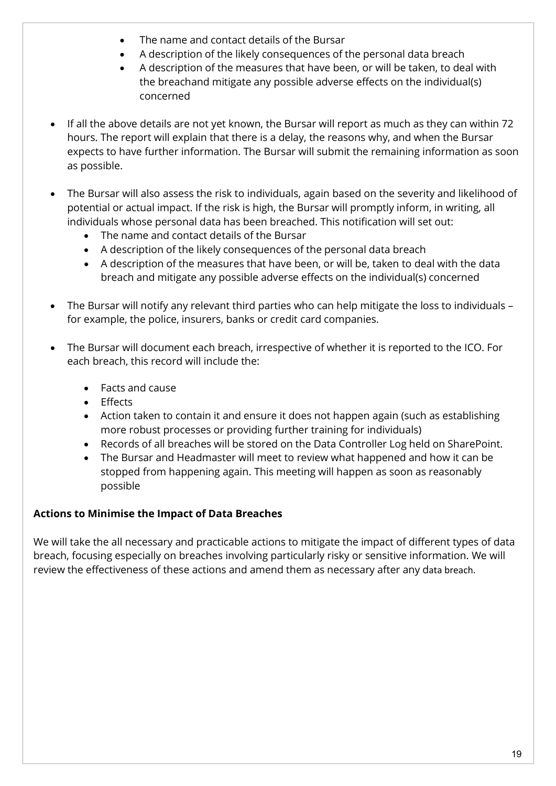- The name and contact details of the Bursar
- A description of the likely consequences of the personal data breach
- A description of the measures that have been, or will be taken, to deal with the breachand mitigate any possible adverse effects on the individual(s) concerned
- If all the above details are not yet known, the Bursar will report as much as they can within 72 hours. The report will explain that there is a delay, the reasons why, and when the Bursar expects to have further information. The Bursar will submit the remaining information as soon as possible.
- The Bursar will also assess the risk to individuals, again based on the severity and likelihood of potential or actual impact. If the risk is high, the Bursar will promptly inform, in writing, all individuals whose personal data has been breached. This notification will set out:
	- The name and contact details of the Bursar
	- A description of the likely consequences of the personal data breach
	- A description of the measures that have been, or will be, taken to deal with the data breach and mitigate any possible adverse effects on the individual(s) concerned
- The Bursar will notify any relevant third parties who can help mitigate the loss to individuals for example, the police, insurers, banks or credit card companies.
- The Bursar will document each breach, irrespective of whether it is reported to the ICO. For each breach, this record will include the:
	- Facts and cause
	- Effects
	- Action taken to contain it and ensure it does not happen again (such as establishing more robust processes or providing further training for individuals)
	- Records of all breaches will be stored on the Data Controller Log held on SharePoint.
	- The Bursar and Headmaster will meet to review what happened and how it can be stopped from happening again. This meeting will happen as soon as reasonably possible

# **Actions to Minimise the Impact of Data Breaches**

We will take the all necessary and practicable actions to mitigate the impact of different types of data breach, focusing especially on breaches involving particularly risky or sensitive information. We will review the effectiveness of these actions and amend them as necessary after any data breach.